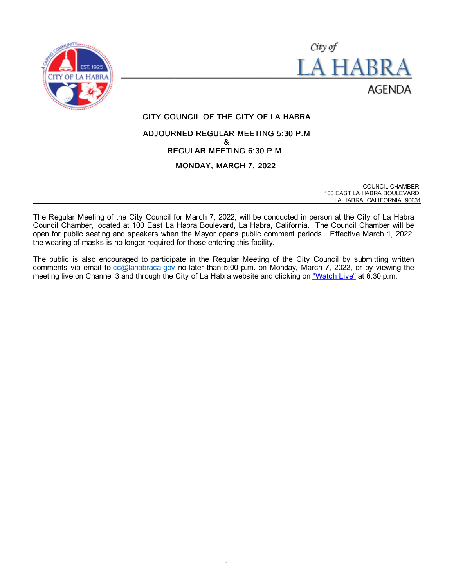



# CITY COUNCIL OF THE CITY OF LA HABRA

# ADJOURNED REGULAR MEETING 5:30 P.M & REGULAR MEETING 6:30 P.M. MONDAY, MARCH 7, 2022

COUNCIL CHAMBER 100 EAST LA HABRA BOULEVARD LA HABRA, CALIFORNIA 90631

The Regular Meeting of the City Council for March 7, 2022, will be conducted in person at the City of La Habra Council Chamber, located at 100 East La Habra Boulevard, La Habra, California. The Council Chamber will be open for public seating and speakers when the Mayor opens public comment periods. Effective March 1, 2022, the wearing of masks is no longer required for those entering this facility.

The public is also encouraged to participate in the Regular Meeting of the City Council by submitting written comments via email to [cc@lahabraca.gov](mailto:cc@lahabraca.gov) no later than 5:00 p.m. on Monday, March 7, 2022, or by viewing the meeting live on Channel 3 and through the City of La Habra website and clicking on ["Watch Live"](http://www.lahabraca.gov/356/Archived-Council-Videos) at 6:30 p.m.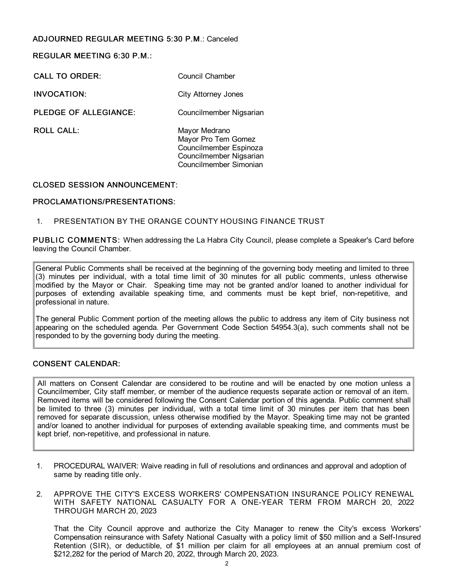# ADJOURNED REGULAR MEETING 5:30 P.M.: Canceled

REGULAR MEETING 6:30 P.M.:

CALL TO ORDER: Council Chamber

INVOCATION: City Attorney Jones

PLEDGE OF ALLEGIANCE: Councilmember Nigsarian

ROLL CALL: Mayor Medrano Mayor Pro Tem Gomez Councilmember Espinoza Councilmember Nigsarian Councilmember Simonian

# CLOSED SESSION ANNOUNCEMENT:

# PROCLAMATIONS/PRESENTATIONS:

# 1. PRESENTATION BY THE ORANGE COUNTY HOUSING FINANCE TRUST

PUBLIC COMMENTS: When addressing the La Habra City Council, please complete a Speaker's Card before leaving the Council Chamber.

General Public Comments shall be received at the beginning of the governing body meeting and limited to three (3) minutes per individual, with a total time limit of 30 minutes for all public comments, unless otherwise modified by the Mayor or Chair. Speaking time may not be granted and/or loaned to another individual for purposes of extending available speaking time, and comments must be kept brief, non-repetitive, and professional in nature.

The general Public Comment portion of the meeting allows the public to address any item of City business not appearing on the scheduled agenda. Per Government Code Section 54954.3(a), such comments shall not be responded to by the governing body during the meeting.

# CONSENT CALENDAR:

All matters on Consent Calendar are considered to be routine and will be enacted by one motion unless a Councilmember, City staff member, or member of the audience requests separate action or removal of an item. Removed items will be considered following the Consent Calendar portion of this agenda. Public comment shall be limited to three (3) minutes per individual, with a total time limit of 30 minutes per item that has been removed for separate discussion, unless otherwise modified by the Mayor. Speaking time may not be granted and/or loaned to another individual for purposes of extending available speaking time, and comments must be kept brief, non-repetitive, and professional in nature.

- 1. PROCEDURAL WAIVER: Waive reading in full of resolutions and ordinances and approval and adoption of same by reading title only.
- 2. APPROVE THE CITY'S EXCESS WORKERS' COMPENSATION INSURANCE POLICY RENEWAL WITH SAFETY NATIONAL CASUALTY FOR A ONE-YEAR TERM FROM MARCH 20, 2022 THROUGH MARCH 20, 2023

That the City Council approve and authorize the City Manager to renew the City's excess Workers' Compensation reinsurance with Safety National Casualty with a policy limit of \$50 million and a Self-Insured Retention (SIR), or deductible, of \$1 million per claim for all employees at an annual premium cost of \$212,282 for the period of March 20, 2022, through March 20, 2023.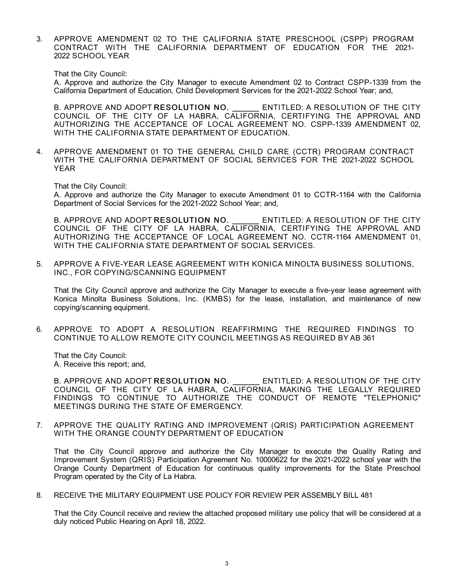3. APPROVE AMENDMENT 02 TO THE CALIFORNIA STATE PRESCHOOL (CSPP) PROGRAM CONTRACT WITH THE CALIFORNIA DEPARTMENT OF EDUCATION FOR THE 2021- 2022 SCHOOL YEAR

That the City Council:

A. Approve and authorize the City Manager to execute Amendment 02 to Contract CSPP-1339 from the California Department of Education, Child Development Services for the 2021-2022 School Year; and,

B. APPROVE AND ADOPT RESOLUTION NO. ENTITLED: A RESOLUTION OF THE CITY COUNCIL OF THE CITY OF LA HABRA, CALIFORNIA, CERTIFYING THE APPROVAL AND AUTHORIZING THE ACCEPTANCE OF LOCAL AGREEMENT NO. CSPP-1339 AMENDMENT 02, WITH THE CALIFORNIA STATE DEPARTMENT OF EDUCATION.

4. APPROVE AMENDMENT 01 TO THE GENERAL CHILD CARE (CCTR) PROGRAM CONTRACT WITH THE CALIFORNIA DEPARTMENT OF SOCIAL SERVICES FOR THE 2021-2022 SCHOOL YEAR

That the City Council:

A. Approve and authorize the City Manager to execute Amendment 01 to CCTR-1164 with the California Department of Social Services for the 2021-2022 School Year; and,

B. APPROVE AND ADOPT RESOLUTION NO. ENTITLED: A RESOLUTION OF THE CITY COUNCIL OF THE CITY OF LA HABRA, CALIFORNIA, CERTIFYING THE APPROVAL AND AUTHORIZING THE ACCEPTANCE OF LOCAL AGREEMENT NO. CCTR-1164 AMENDMENT 01, WITH THE CALIFORNIA STATE DEPARTMENT OF SOCIAL SERVICES.

5. APPROVE A FIVE-YEAR LEASE AGREEMENT WITH KONICA MINOLTA BUSINESS SOLUTIONS, INC., FOR COPYING/SCANNING EQUIPMENT

That the City Council approve and authorize the City Manager to execute a five-year lease agreement with Konica Minolta Business Solutions, Inc. (KMBS) for the lease, installation, and maintenance of new copying/scanning equipment.

6. APPROVE TO ADOPT A RESOLUTION REAFFIRMING THE REQUIRED FINDINGS TO CONTINUE TO ALLOW REMOTE CITY COUNCIL MEETINGS AS REQUIRED BY AB 361

That the City Council: A. Receive this report; and,

B. APPROVE AND ADOPT RESOLUTION NO. ENTITLED: A RESOLUTION OF THE CITY COUNCIL OF THE CITY OF LA HABRA, CALIFORNIA, MAKING THE LEGALLY REQUIRED FINDINGS TO CONTINUE TO AUTHORIZE THE CONDUCT OF REMOTE "TELEPHONIC" MEETINGS DURING THE STATE OF EMERGENCY.

7. APPROVE THE QUALITY RATING AND IMPROVEMENT (QRIS) PARTICIPATION AGREEMENT WITH THE ORANGE COUNTY DEPARTMENT OF EDUCATION

That the City Council approve and authorize the City Manager to execute the Quality Rating and Improvement System (QRIS) Participation Agreement No. 10000622 for the 2021-2022 school year with the Orange County Department of Education for continuous quality improvements for the State Preschool Program operated by the City of La Habra.

8. RECEIVE THE MILITARY EQUIPMENT USE POLICY FOR REVIEW PER ASSEMBLY BILL 481

That the City Council receive and review the attached proposed military use policy that will be considered at a duly noticed Public Hearing on April 18, 2022.